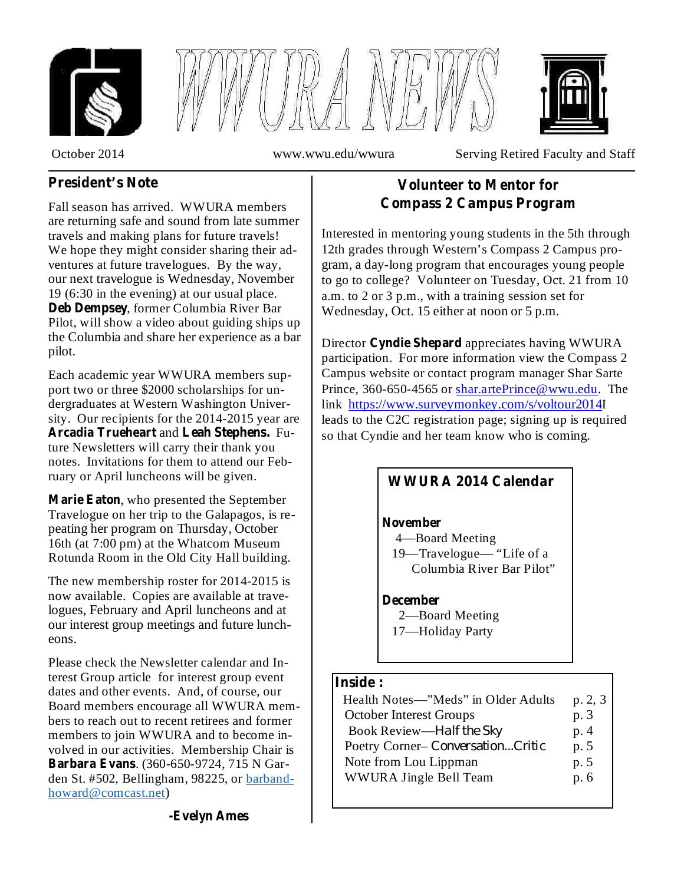





October 2014 www.wwu.edu/wwura Serving Retired Faculty and Staff

# **President's Note**

Fall season has arrived. WWURA members are returning safe and sound from late summer travels and making plans for future travels! We hope they might consider sharing their adventures at future travelogues. By the way, our next travelogue is Wednesday, November 19 (6:30 in the evening) at our usual place. Deb Dempsey, former Columbia River Bar Pilot, will show a video about guiding ships up the Columbia and share her experience as a bar pilot.

Each academic year WWURA members support two or three \$2000 scholarships for undergraduates at Western Washington University. Our recipients for the 2014-2015 year are Arcadia Trueheart and Leah Stephens. Future Newsletters will carry their thank you notes. Invitations for them to attend our February or April luncheons will be given.

, who presented the September **Marie Eaton** Travelogue on her trip to the Galapagos, is repeating her program on Thursday, October 16th (at 7:00 pm) at the Whatcom Museum Rotunda Room in the Old City Hall building.

The new membership roster for 2014-2015 is now available. Copies are available at travelogues, February and April luncheons and at our interest group meetings and future luncheons.

Please check the Newsletter calendar and Interest Group article for interest group event dates and other events. And, of course, our Board members encourage all WWURA members to reach out to recent retirees and former members to join WWURA and to become involved in our activities. Membership Chair is . (360-650-9724, 715 N Gar-**Barbara Evans** den St. #502, Bellingham, 98225, or barbandhoward@comcast.net)

# **Volunteer to Mentor for Compass 2 Campus Program**

Interested in mentoring young students in the 5th through 12th grades through Western's Compass 2 Campus program, a day-long program that encourages young people to go to college? Volunteer on Tuesday, Oct. 21 from 10 a.m. to 2 or 3 p.m., with a training session set for Wednesday, Oct. 15 either at noon or 5 p.m.

Director Cyndie Shepard appreciates having WWURA participation. For more information view the Compass 2 Campus website or contact program manager Shar Sarte Prince, 360-650-4565 or shar.artePrince@wwu.edu. The link https://www.surveymonkey.com/s/voltour2014I leads to the C2C registration page; signing up is required so that Cyndie and her team know who is coming.

# **WWURA 2014 Calendar**

#### **November**

4—Board Meeting

19—Travelogue— "Life of a Columbia River Bar Pilot"

2—Board Meeting **December**

17—Holiday Party

### **Inside :**

| Health Notes—"Meds" in Older Adults | p. 2, 3 |
|-------------------------------------|---------|
| <b>October Interest Groups</b>      | p. 3    |
| Book Review-Half the Sky            | p.4     |
| Poetry Corner-ConversationCritic    | p. 5    |
| Note from Lou Lippman               | p. 5    |
| WWURA Jingle Bell Team              | p. 6    |
|                                     |         |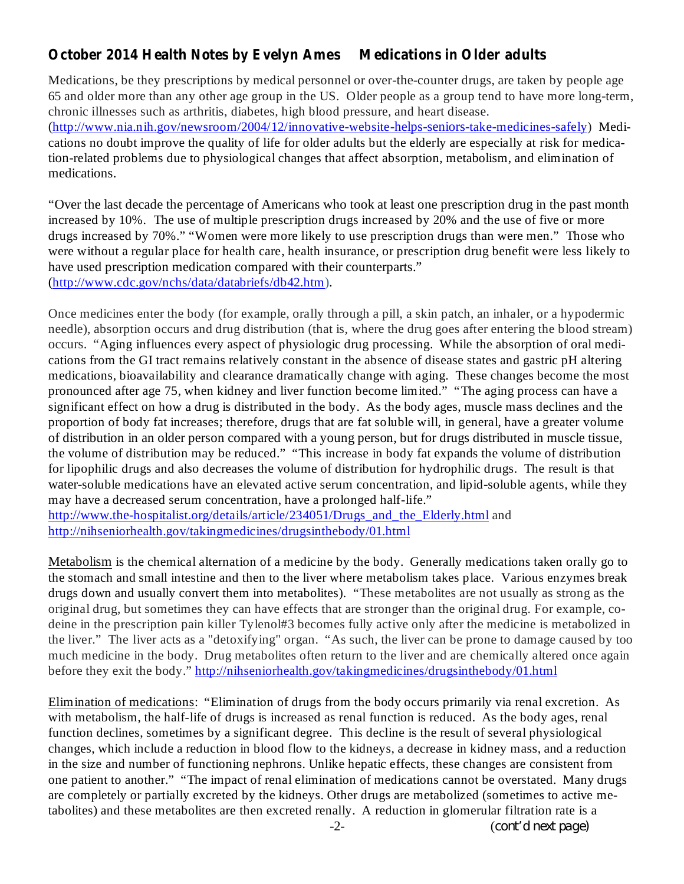# **October 2014 Health Notes by Evelyn Ames Medications in Older adults**

Medications, be they prescriptions by medical personnel or over-the-counter drugs, are taken by people age 65 and older more than any other age group in the US. Older people as a group tend to have more long-term, chronic illnesses such as arthritis, diabetes, high blood pressure, and heart disease. (http://www.nia.nih.gov/newsroom/2004/12/innovative-website-helps-seniors-take-medicines-safely) Medications no doubt improve the quality of life for older adults but the elderly are especially at risk for medication-related problems due to physiological changes that affect absorption, metabolism, and elimination of medications.

"Over the last decade the percentage of Americans who took at least one prescription drug in the past month increased by 10%. The use of multiple prescription drugs increased by 20% and the use of five or more drugs increased by 70%." "Women were more likely to use prescription drugs than were men." Those who were without a regular place for health care, health insurance, or prescription drug benefit were less likely to have used prescription medication compared with their counterparts." (http://www.cdc.gov/nchs/data/databriefs/db42.htm).

Once medicines enter the body (for example, orally through a pill, a skin patch, an inhaler, or a hypodermic needle), absorption occurs and drug distribution (that is, where the drug goes after entering the blood stream) occurs. "Aging influences every aspect of physiologic drug processing. While the absorption of oral medications from the GI tract remains relatively constant in the absence of disease states and gastric pH altering medications, bioavailability and clearance dramatically change with aging. These changes become the most pronounced after age 75, when kidney and liver function become limited." "The aging process can have a significant effect on how a drug is distributed in the body. As the body ages, muscle mass declines and the proportion of body fat increases; therefore, drugs that are fat soluble will, in general, have a greater volume of distribution in an older person compared with a young person, but for drugs distributed in muscle tissue, the volume of distribution may be reduced." "This increase in body fat expands the volume of distribution for lipophilic drugs and also decreases the volume of distribution for hydrophilic drugs. The result is that water-soluble medications have an elevated active serum concentration, and lipid-soluble agents, while they may have a decreased serum concentration, have a prolonged half-life."

http://www.the-hospitalist.org/details/article/234051/Drugs and the Elderly.html and http://nihseniorhealth.gov/takingmedicines/drugsinthebody/01.html

Metabolism is the chemical alternation of a medicine by the body. Generally medications taken orally go to the stomach and small intestine and then to the liver where metabolism takes place. Various enzymes break drugs down and usually convert them into metabolites). "These metabolites are not usually as strong as the original drug, but sometimes they can have effects that are stronger than the original drug. For example, codeine in the prescription pain killer Tylenol#3 becomes fully active only after the medicine is metabolized in the liver." The liver acts as a "detoxifying" organ. "As such, the liver can be prone to damage caused by too much medicine in the body. Drug metabolites often return to the liver and are chemically altered once again before they exit the body." http://nihseniorhealth.gov/takingmedicines/drugsinthebody/01.html

Elimination of medications: "Elimination of drugs from the body occurs primarily via renal excretion. As with metabolism, the half-life of drugs is increased as renal function is reduced. As the body ages, renal function declines, sometimes by a significant degree. This decline is the result of several physiological changes, which include a reduction in blood flow to the kidneys, a decrease in kidney mass, and a reduction in the size and number of functioning nephrons. Unlike hepatic effects, these changes are consistent from one patient to another." "The impact of renal elimination of medications cannot be overstated. Many drugs are completely or partially excreted by the kidneys. Other drugs are metabolized (sometimes to active metabolites) and these metabolites are then excreted renally. A reduction in glomerular filtration rate is a

-2- (*cont'd next page)*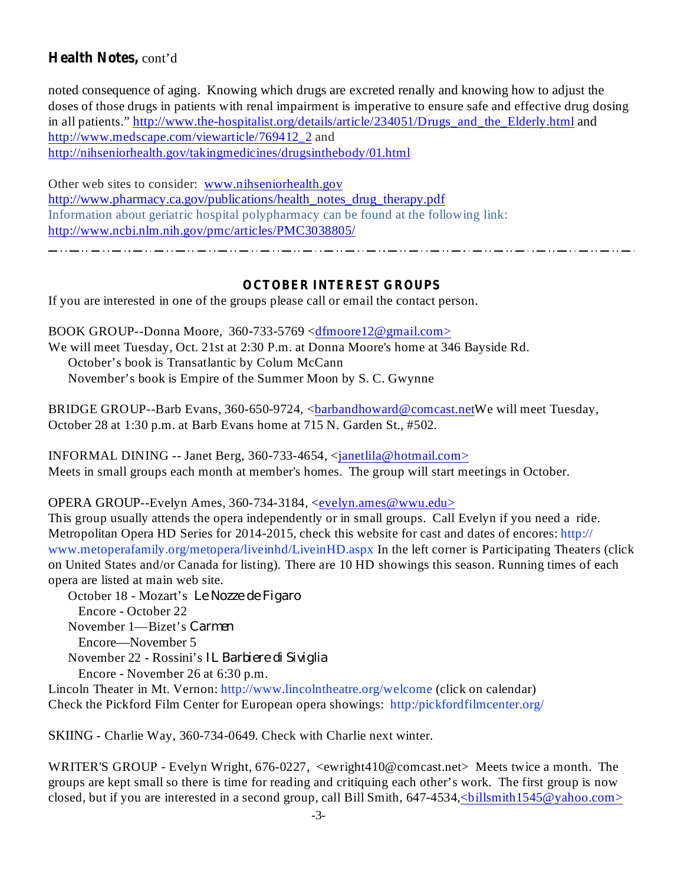## Health Notes, cont'd

noted consequence of aging. Knowing which drugs are excreted renally and knowing how to adjust the doses of those drugs in patients with renal impairment is imperative to ensure safe and effective drug dosing in all patients." http://www.the-hospitalist.org/details/article/234051/Drugs\_and\_the\_Elderly.html and http://www.medscape.com/viewarticle/769412\_2 and http://nihseniorhealth.gov/takingmedicines/drugsinthebody/01.html

Other web sites to consider: www.nihseniorhealth.gov http://www.pharmacy.ca.gov/publications/health\_notes\_drug\_therapy.pdf Information about geriatric hospital polypharmacy can be found at the following link: http://www.ncbi.nlm.nih.gov/pmc/articles/PMC3038805/

### **OCTOBER INTEREST GROUPS**

If you are interested in one of the groups please call or email the contact person.

BOOK GROUP--Donna Moore, 360-733-5769 <dfmoore12@gmail.com> We will meet Tuesday, Oct. 21st at 2:30 P.m. at Donna Moore's home at 346 Bayside Rd. October's book is Transatlantic by Colum McCann November's book is Empire of the Summer Moon by S. C. Gwynne

BRIDGE GROUP--Barb Evans, 360-650-9724, <br/>bandhoward@comcast.netWe will meet Tuesday, October 28 at 1:30 p.m. at Barb Evans home at 715 N. Garden St., #502.

INFORMAL DINING -- Janet Berg, 360-733-4654,  $\langle$  ann and  $\langle$  hotmail.com  $\rangle$ Meets in small groups each month at member's homes. The group will start meetings in October.

OPERA GROUP--Evelyn Ames, 360-734-3184, <evelyn.ames@wwu.edu>

This group usually attends the opera independently or in small groups. Call Evelyn if you need a ride. Metropolitan Opera HD Series for 2014-2015, check this website for cast and dates of encores: http:// www.metoperafamily.org/metopera/liveinhd/LiveinHD.aspx In the left corner is Participating Theaters (click on United States and/or Canada for listing). There are 10 HD showings this season. Running times of each opera are listed at main web site.

October 18 - Mozart's *Le Nozze de Figaro* Encore - October 22 November 1—Bizet's *Carmen* Encore—November 5 November 22 - Rossini's *IL Barbiere di Siviglia*Encore - November 26 at 6:30 p.m.

Lincoln Theater in Mt. Vernon: http://www.lincolntheatre.org/welcome (click on calendar) Check the Pickford Film Center for European opera showings: http:/pickfordfilmcenter.org/

SKIING - Charlie Way, 360-734-0649. Check with Charlie next winter.

WRITER'S GROUP - Evelyn Wright, 676-0227, <ewright410@comcast.net> Meets twice a month. The groups are kept small so there is time for reading and critiquing each other's work. The first group is now closed, but if you are interested in a second group, call Bill Smith, 647-4534, <br/>billsmith1545@yahoo.com>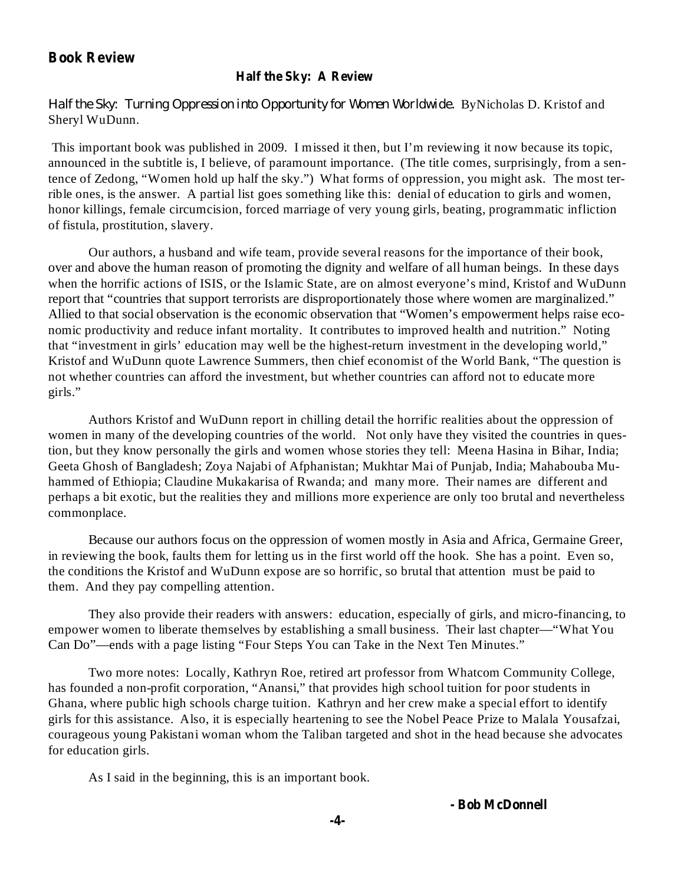#### **Book Review**

### **Half the Sky: A Review**

Half the Sky: Turning Oppression into Opportunity for Women Worldwide. ByNicholas D. Kristof and Sheryl WuDunn.

This important book was published in 2009. I missed it then, but I'm reviewing it now because its topic, announced in the subtitle is, I believe, of paramount importance. (The title comes, surprisingly, from a sentence of Zedong, "Women hold up half the sky.") What forms of oppression, you might ask. The most terrible ones, is the answer. A partial list goes something like this: denial of education to girls and women, honor killings, female circumcision, forced marriage of very young girls, beating, programmatic infliction of fistula, prostitution, slavery.

Our authors, a husband and wife team, provide several reasons for the importance of their book, over and above the human reason of promoting the dignity and welfare of all human beings. In these days when the horrific actions of ISIS, or the Islamic State, are on almost everyone's mind, Kristof and WuDunn report that "countries that support terrorists are disproportionately those where women are marginalized." Allied to that social observation is the economic observation that "Women's empowerment helps raise economic productivity and reduce infant mortality. It contributes to improved health and nutrition." Noting that "investment in girls' education may well be the highest-return investment in the developing world," Kristof and WuDunn quote Lawrence Summers, then chief economist of the World Bank, "The question is not whether countries can afford the investment, but whether countries can afford not to educate more girls."

Authors Kristof and WuDunn report in chilling detail the horrific realities about the oppression of women in many of the developing countries of the world. Not only have they visited the countries in question, but they know personally the girls and women whose stories they tell: Meena Hasina in Bihar, India; Geeta Ghosh of Bangladesh; Zoya Najabi of Afphanistan; Mukhtar Mai of Punjab, India; Mahabouba Muhammed of Ethiopia; Claudine Mukakarisa of Rwanda; and many more. Their names are different and perhaps a bit exotic, but the realities they and millions more experience are only too brutal and nevertheless commonplace.

Because our authors focus on the oppression of women mostly in Asia and Africa, Germaine Greer, in reviewing the book, faults them for letting us in the first world off the hook. She has a point. Even so, the conditions the Kristof and WuDunn expose are so horrific, so brutal that attention must be paid to them. And they pay compelling attention.

They also provide their readers with answers: education, especially of girls, and micro-financing, to empower women to liberate themselves by establishing a small business. Their last chapter—"What You Can Do"—ends with a page listing "Four Steps You can Take in the Next Ten Minutes."

Two more notes: Locally, Kathryn Roe, retired art professor from Whatcom Community College, has founded a non-profit corporation, "Anansi," that provides high school tuition for poor students in Ghana, where public high schools charge tuition. Kathryn and her crew make a special effort to identify girls for this assistance. Also, it is especially heartening to see the Nobel Peace Prize to Malala Yousafzai, courageous young Pakistani woman whom the Taliban targeted and shot in the head because she advocates for education girls.

As I said in the beginning, this is an important book.

**- Bob McDonnell**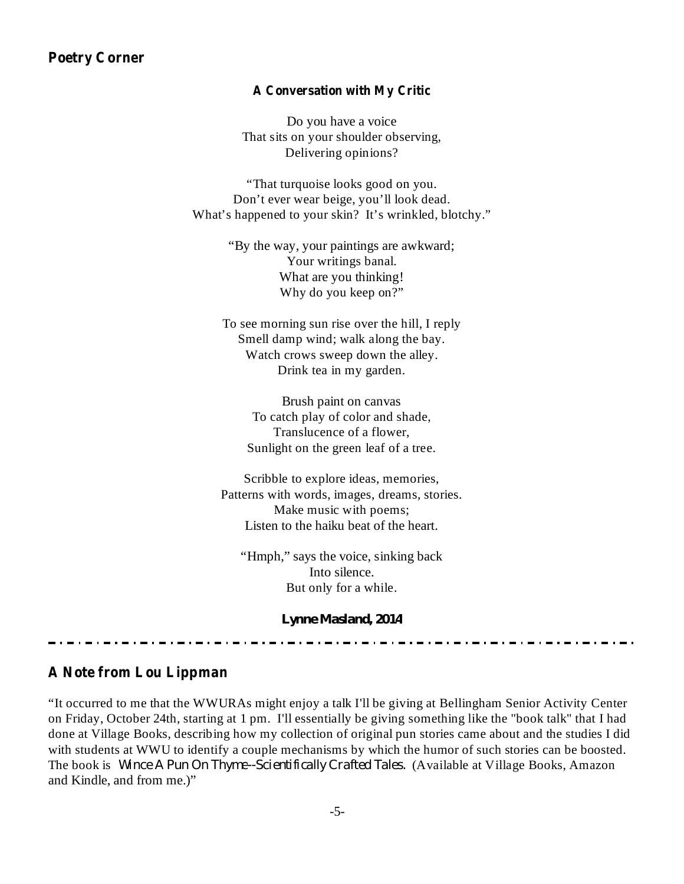#### **Poetry Corner**

#### **A Conversation with My Critic**

Do you have a voice That sits on your shoulder observing, Delivering opinions?

"That turquoise looks good on you. Don't ever wear beige, you'll look dead. What's happened to your skin? It's wrinkled, blotchy."

> "By the way, your paintings are awkward; Your writings banal. What are you thinking! Why do you keep on?"

To see morning sun rise over the hill, I reply Smell damp wind; walk along the bay. Watch crows sweep down the alley. Drink tea in my garden.

> Brush paint on canvas To catch play of color and shade, Translucence of a flower, Sunlight on the green leaf of a tree.

Scribble to explore ideas, memories, Patterns with words, images, dreams, stories. Make music with poems; Listen to the haiku beat of the heart.

"Hmph," says the voice, sinking back Into silence. But only for a while.

*Lynne Masland, 2014*

#### **A Note from Lou Lippman**

"It occurred to me that the WWURAs might enjoy a talk I'll be giving at Bellingham Senior Activity Center on Friday, October 24th, starting at 1 pm. I'll essentially be giving something like the "book talk" that I had done at Village Books, describing how my collection of original pun stories came about and the studies I did with students at WWU to identify a couple mechanisms by which the humor of such stories can be boosted. The book is Wince A Pun On Thyme--Scientifically Crafted Tales. (Available at Village Books, Amazon and Kindle, and from me.)"